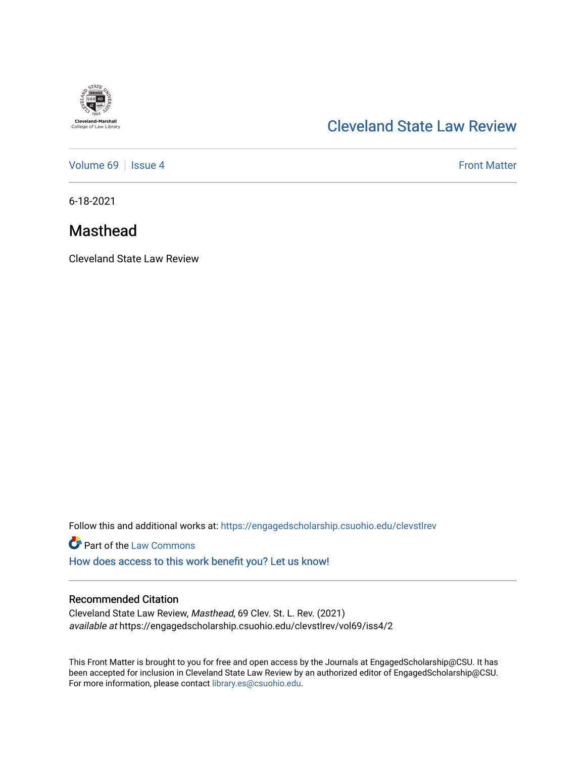

# [Cleveland State Law Review](https://engagedscholarship.csuohio.edu/clevstlrev)

[Volume 69](https://engagedscholarship.csuohio.edu/clevstlrev/vol69) | [Issue 4](https://engagedscholarship.csuohio.edu/clevstlrev/vol69/iss4) Front Matter

6-18-2021

# Masthead

Cleveland State Law Review

Follow this and additional works at: [https://engagedscholarship.csuohio.edu/clevstlrev](https://engagedscholarship.csuohio.edu/clevstlrev?utm_source=engagedscholarship.csuohio.edu%2Fclevstlrev%2Fvol69%2Fiss4%2F2&utm_medium=PDF&utm_campaign=PDFCoverPages)

**Part of the [Law Commons](http://network.bepress.com/hgg/discipline/578?utm_source=engagedscholarship.csuohio.edu%2Fclevstlrev%2Fvol69%2Fiss4%2F2&utm_medium=PDF&utm_campaign=PDFCoverPages)** 

[How does access to this work benefit you? Let us know!](http://library.csuohio.edu/engaged/)

### Recommended Citation

Cleveland State Law Review, Masthead, 69 Clev. St. L. Rev. (2021) available at https://engagedscholarship.csuohio.edu/clevstlrev/vol69/iss4/2

This Front Matter is brought to you for free and open access by the Journals at EngagedScholarship@CSU. It has been accepted for inclusion in Cleveland State Law Review by an authorized editor of EngagedScholarship@CSU. For more information, please contact [library.es@csuohio.edu.](mailto:library.es@csuohio.edu)